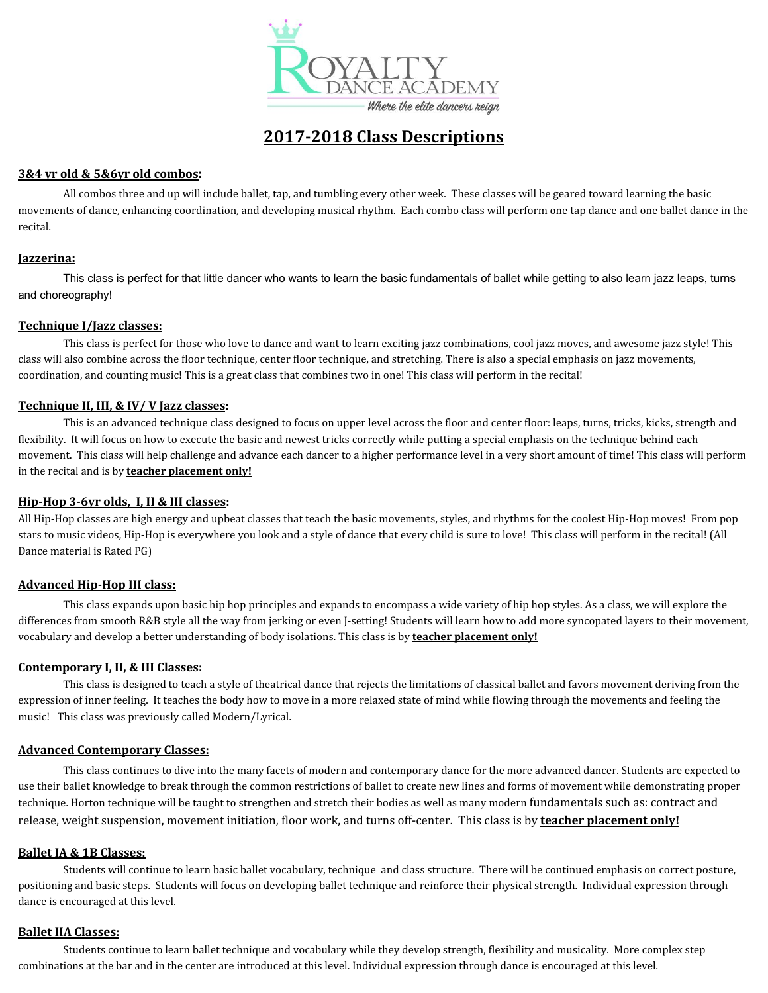

# **2017-2018 Class Descriptions**

# **3&4 yr old & 5&6yr old combos:**

All combos three and up will include ballet, tap, and tumbling every other week. These classes will be geared toward learning the basic movements of dance, enhancing coordination, and developing musical rhythm. Each combo class will perform one tap dance and one ballet dance in the recital.

## **Jazzerina:**

This class is perfect for that little dancer who wants to learn the basic fundamentals of ballet while getting to also learn jazz leaps, turns and choreography!

# **Technique I/Jazz classes:**

This class is perfect for those who love to dance and want to learn exciting jazz combinations, cool jazz moves, and awesome jazz style! This class will also combine across the floor technique, center floor technique, and stretching. There is also a special emphasis on jazz movements, coordination, and counting music! This is a great class that combines two in one! This class will perform in the recital!

# **Technique II, III, & IV/ V Jazz classes:**

This is an advanced technique class designed to focus on upper level across the floor and center floor: leaps, turns, tricks, kicks, strength and flexibility. It will focus on how to execute the basic and newest tricks correctly while putting a special emphasis on the technique behind each movement. This class will help challenge and advance each dancer to a higher performance level in a very short amount of time! This class will perform in the recital and is by **teacher placement only!**

## **Hip-Hop 3-6yr olds, I, II & III classes:**

All Hip-Hop classes are high energy and upbeat classes that teach the basic movements, styles, and rhythms for the coolest Hip-Hop moves! From pop stars to music videos, Hip-Hop is everywhere you look and a style of dance that every child is sure to love! This class will perform in the recital! (All Dance material is Rated PG)

# **Advanced Hip-Hop III class:**

This class expands upon basic hip hop principles and expands to encompass a wide variety of hip hop styles. As a class, we will explore the differences from smooth R&B style all the way from jerking or even J-setting! Students will learn how to add more syncopated layers to their movement, vocabulary and develop a better understanding of body isolations. This class is by **teacher placement only!**

# **Contemporary I, II, & III Classes:**

This class is designed to teach a style of theatrical dance that rejects the limitations of classical ballet and favors movement deriving from the expression of inner feeling. It teaches the body how to move in a more relaxed state of mind while flowing through the movements and feeling the music! This class was previously called Modern/Lyrical.

# **Advanced Contemporary Classes:**

This class continues to dive into the many facets of modern and contemporary dance for the more advanced dancer. Students are expected to use their ballet knowledge to break through the common restrictions of ballet to create new lines and forms of movement while demonstrating proper technique. Horton technique will be taught to strengthen and stretch their bodies as well as many modern fundamentals such as: contract and release, weight suspension, movement initiation, floor work, and turns off-center. This class is by **teacher placement only!**

#### **Ballet IA & 1B Classes:**

Students will continue to learn basic ballet vocabulary, technique and class structure. There will be continued emphasis on correct posture, positioning and basic steps. Students will focus on developing ballet technique and reinforce their physical strength. Individual expression through dance is encouraged at this level.

#### **Ballet IIA Classes:**

Students continue to learn ballet technique and vocabulary while they develop strength, flexibility and musicality. More complex step combinations at the bar and in the center are introduced at this level. Individual expression through dance is encouraged at this level.